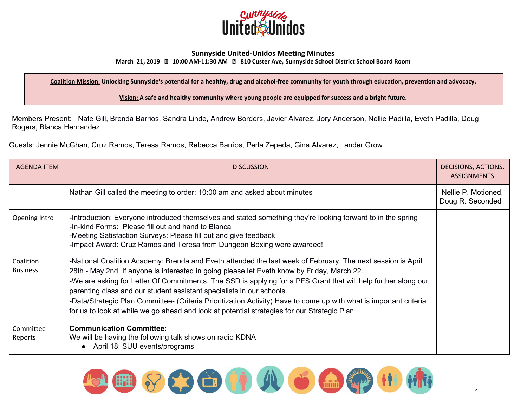

## **Sunnyside United-Unidos Meeting Minutes**

**March 21, 2019 10:00 AM-11:30 AM 810 Custer Ave, Sunnyside School District School Board Room**

Coalition Mission: Unlocking Sunnyside's potential for a healthy, drug and alcohol-free community for youth through education, prevention and advocacy.

**Vision: A safe and healthy community where young people are equipped for success and a bright future.**

Members Present: Nate Gill, Brenda Barrios, Sandra Linde, Andrew Borders, Javier Alvarez, Jory Anderson, Nellie Padilla, Eveth Padilla, Doug Rogers, Blanca Hernandez

Guests: Jennie McGhan, Cruz Ramos, Teresa Ramos, Rebecca Barrios, Perla Zepeda, Gina Alvarez, Lander Grow

| <b>AGENDA ITEM</b>           | <b>DISCUSSION</b>                                                                                                                                                                                                                                                                                                                                                                                                                                                                                                                                                                                                          | DECISIONS, ACTIONS,<br><b>ASSIGNMENTS</b> |
|------------------------------|----------------------------------------------------------------------------------------------------------------------------------------------------------------------------------------------------------------------------------------------------------------------------------------------------------------------------------------------------------------------------------------------------------------------------------------------------------------------------------------------------------------------------------------------------------------------------------------------------------------------------|-------------------------------------------|
|                              | Nathan Gill called the meeting to order: 10:00 am and asked about minutes                                                                                                                                                                                                                                                                                                                                                                                                                                                                                                                                                  | Nellie P. Motioned,<br>Doug R. Seconded   |
| Opening Intro                | -Introduction: Everyone introduced themselves and stated something they're looking forward to in the spring<br>-In-kind Forms: Please fill out and hand to Blanca<br>-Meeting Satisfaction Surveys: Please fill out and give feedback<br>-Impact Award: Cruz Ramos and Teresa from Dungeon Boxing were awarded!                                                                                                                                                                                                                                                                                                            |                                           |
| Coalition<br><b>Business</b> | -National Coalition Academy: Brenda and Eveth attended the last week of February. The next session is April<br>28th - May 2nd. If anyone is interested in going please let Eveth know by Friday, March 22.<br>-We are asking for Letter Of Commitments. The SSD is applying for a PFS Grant that will help further along our<br>parenting class and our student assistant specialists in our schools.<br>-Data/Strategic Plan Committee- (Criteria Prioritization Activity) Have to come up with what is important criteria<br>for us to look at while we go ahead and look at potential strategies for our Strategic Plan |                                           |
| Committee<br>Reports         | <b>Communication Committee:</b><br>We will be having the following talk shows on radio KDNA<br>• April 18: SUU events/programs                                                                                                                                                                                                                                                                                                                                                                                                                                                                                             |                                           |

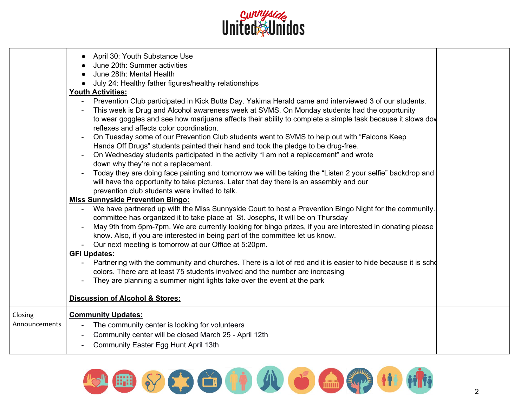

|               | April 30: Youth Substance Use<br>June 20th: Summer activities<br>June 28th: Mental Health<br>July 24: Healthy father figures/healthy relationships<br><b>Youth Activities:</b><br>Prevention Club participated in Kick Butts Day. Yakima Herald came and interviewed 3 of our students.<br>This week is Drug and Alcohol awareness week at SVMS. On Monday students had the opportunity<br>to wear goggles and see how marijuana affects their ability to complete a simple task because it slows dow<br>reflexes and affects color coordination.<br>On Tuesday some of our Prevention Club students went to SVMS to help out with "Falcons Keep"<br>Hands Off Drugs" students painted their hand and took the pledge to be drug-free.<br>On Wednesday students participated in the activity "I am not a replacement" and wrote<br>down why they're not a replacement.<br>Today they are doing face painting and tomorrow we will be taking the "Listen 2 your selfie" backdrop and<br>will have the opportunity to take pictures. Later that day there is an assembly and our<br>prevention club students were invited to talk.<br><b>Miss Sunnyside Prevention Bingo:</b><br>We have partnered up with the Miss Sunnyside Court to host a Prevention Bingo Night for the community.<br>committee has organized it to take place at St. Josephs, It will be on Thursday<br>May 9th from 5pm-7pm. We are currently looking for bingo prizes, if you are interested in donating please<br>know. Also, if you are interested in being part of the committee let us know.<br>Our next meeting is tomorrow at our Office at 5:20pm.<br><b>GFI Updates:</b><br>Partnering with the community and churches. There is a lot of red and it is easier to hide because it is scho<br>colors. There are at least 75 students involved and the number are increasing<br>They are planning a summer night lights take over the event at the park<br><b>Discussion of Alcohol &amp; Stores:</b> |  |
|---------------|-----------------------------------------------------------------------------------------------------------------------------------------------------------------------------------------------------------------------------------------------------------------------------------------------------------------------------------------------------------------------------------------------------------------------------------------------------------------------------------------------------------------------------------------------------------------------------------------------------------------------------------------------------------------------------------------------------------------------------------------------------------------------------------------------------------------------------------------------------------------------------------------------------------------------------------------------------------------------------------------------------------------------------------------------------------------------------------------------------------------------------------------------------------------------------------------------------------------------------------------------------------------------------------------------------------------------------------------------------------------------------------------------------------------------------------------------------------------------------------------------------------------------------------------------------------------------------------------------------------------------------------------------------------------------------------------------------------------------------------------------------------------------------------------------------------------------------------------------------------------------------------------------------------------------------------------------------------------------------------|--|
| Closing       | <b>Community Updates:</b>                                                                                                                                                                                                                                                                                                                                                                                                                                                                                                                                                                                                                                                                                                                                                                                                                                                                                                                                                                                                                                                                                                                                                                                                                                                                                                                                                                                                                                                                                                                                                                                                                                                                                                                                                                                                                                                                                                                                                         |  |
| Announcements | The community center is looking for volunteers                                                                                                                                                                                                                                                                                                                                                                                                                                                                                                                                                                                                                                                                                                                                                                                                                                                                                                                                                                                                                                                                                                                                                                                                                                                                                                                                                                                                                                                                                                                                                                                                                                                                                                                                                                                                                                                                                                                                    |  |
|               | Community center will be closed March 25 - April 12th                                                                                                                                                                                                                                                                                                                                                                                                                                                                                                                                                                                                                                                                                                                                                                                                                                                                                                                                                                                                                                                                                                                                                                                                                                                                                                                                                                                                                                                                                                                                                                                                                                                                                                                                                                                                                                                                                                                             |  |
|               | Community Easter Egg Hunt April 13th                                                                                                                                                                                                                                                                                                                                                                                                                                                                                                                                                                                                                                                                                                                                                                                                                                                                                                                                                                                                                                                                                                                                                                                                                                                                                                                                                                                                                                                                                                                                                                                                                                                                                                                                                                                                                                                                                                                                              |  |
|               |                                                                                                                                                                                                                                                                                                                                                                                                                                                                                                                                                                                                                                                                                                                                                                                                                                                                                                                                                                                                                                                                                                                                                                                                                                                                                                                                                                                                                                                                                                                                                                                                                                                                                                                                                                                                                                                                                                                                                                                   |  |